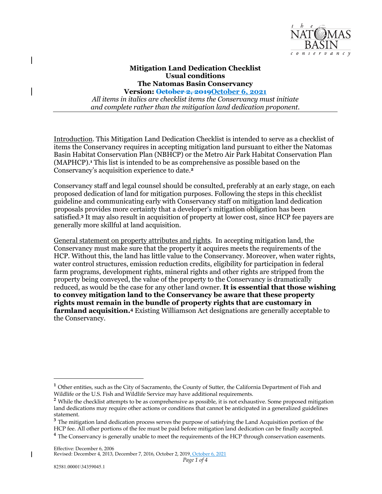

## **Mitigation Land Dedication Checklist Usual conditions The Natomas Basin Conservancy**

 **Version: October 2, 2019October 6, 2021**   *All items in italics are checklist items the Conservancy must initiate and complete rather than the mitigation land dedication proponent.* 

 Basin Habitat Conservation Plan (NBHCP) or the Metro Air Park Habitat Conservation Plan (MAPHCP).**<sup>1</sup>** This list is intended to be as comprehensive as possible based on the Introduction. This Mitigation Land Dedication Checklist is intended to serve as a checklist of items the Conservancy requires in accepting mitigation land pursuant to either the Natomas Conservancy's acquisition experience to date.**<sup>2</sup>**

 Conservancy staff and legal counsel should be consulted, preferably at an early stage, on each proposed dedication of land for mitigation purposes. Following the steps in this checklist guideline and communicating early with Conservancy staff on mitigation land dedication satisfied.**<sup>3</sup>** It may also result in acquisition of property at lower cost, since HCP fee payers are generally more skillful at land acquisition. proposals provides more certainty that a developer's mitigation obligation has been

 General statement on property attributes and rights. In accepting mitigation land, the Conservancy must make sure that the property it acquires meets the requirements of the HCP. Without this, the land has little value to the Conservancy. Moreover, when water rights, water control structures, emission reduction credits, eligibility for participation in federal  reduced, as would be the case for any other land owner. **It is essential that those wishing rights must remain in the bundle of property rights that are customary in farmland acquisition.4** Existing Williamson Act designations are generally acceptable to farm programs, development rights, mineral rights and other rights are stripped from the property being conveyed, the value of the property to the Conservancy is dramatically **to convey mitigation land to the Conservancy be aware that these property**  the Conservancy.

<sup>&</sup>lt;sup>1</sup> Other entities, such as the City of Sacramento, the County of Sutter, the California Department of Fish and Wildlife or the U.S. Fish and Wildlife Service may have additional requirements.

<sup>&</sup>lt;sup>2</sup> While the checklist attempts to be as comprehensive as possible, it is not exhaustive. Some proposed mitigation land dedications may require other actions or conditions that cannot be anticipated in a generalized guidelines statement.

 **<sup>3</sup>**The mitigation land dedication process serves the purpose of satisfying the Land Acquisition portion of the HCP fee. All other portions of the fee must be paid before mitigation land dedication can be finally accepted. <sup>4</sup> The Conservancy is generally unable to meet the requirements of the HCP through conservation easements.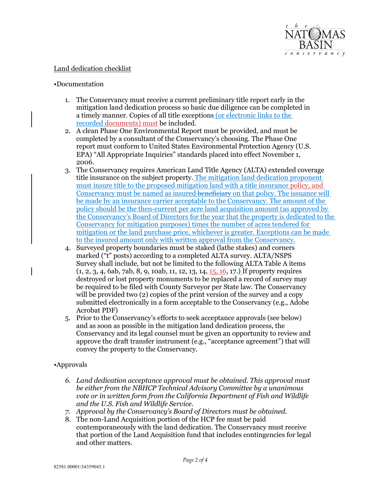

## Land dedication checklist

## •Documentation

- 1. The Conservancy must receive a current preliminary title report early in the mitigation land dedication process so basic due diligence can be completed in a timely manner. Copies of all title exceptions (or electronic links to the recorded documents) must be included.
- 2. A clean Phase One Environmental Report must be provided, and must be completed by a consultant of the Conservancy's choosing. The Phase One report must conform to United States Environmental Protection Agency (U.S. EPA) "All Appropriate Inquiries" standards placed into effect November 1, 2006.
- 3. The Conservancy requires American Land Title Agency (ALTA) extended coverage must insure title to the proposed mitigation land with a title insurance policy, and Conservancy must be named as insured beneficiary on that policy. The issuance will be made by an insurance carrier acceptable to the Conservancy. The amount of the policy should be the then-current per acre land acquisition amount (as approved by Conservancy for mitigation purposes) times the number of acres tendered for mitigation or the land purchase price, whichever is greater. Exceptions can be made title insurance on the subject property. The mitigation land dedication proponent the Conservancy's Board of Directors for the year that the property is dedicated to the to the insured amount only with written approval from the Conservancy.
- 4. Surveyed property boundaries must be staked (lathe stakes) and corners marked ("t" posts) according to a completed ALTA survey. ALTA/NSPS Survey shall include, but not be limited to the following ALTA Table A items destroyed or lost property monuments to be replaced a record of survey may be required to be filed with County Surveyor per State law. The Conservancy will be provided two (2) copies of the print version of the survey and a copy submitted electronically in a form acceptable to the Conservancy (e.g., Adobe (1, 2, 3, 4, 6ab, 7ab, 8, 9, 10ab, 11, 12, 13, 14, 15, 16, 17.) If property requires Acrobat PDF)
- 5. Prior to the Conservancy's efforts to seek acceptance approvals (see below) and as soon as possible in the mitigation land dedication process, the Conservancy and its legal counsel must be given an opportunity to review and approve the draft transfer instrument (e.g., "acceptance agreement") that will convey the property to the Conservancy.

## •Approvals

- *6. Land dedication acceptance approval must be obtained. This approval must be either from the NBHCP Technical Advisory Committee by a unanimous vote or in written form from the California Department of Fish and Wildlife and the U.S. Fish and Wildlife Service.*
- *7. Approval by the Conservancy's Board of Directors must be obtained.*
- 8. The non-Land Acquisition portion of the HCP fee must be paid contemporaneously with the land dedication. The Conservancy must receive that portion of the Land Acquisition fund that includes contingencies for legal and other matters.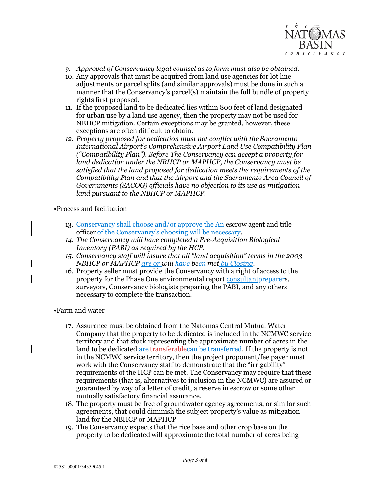

- *9. Approval of Conservancy legal counsel as to form must also be obtained.*
- 10. Any approvals that must be acquired from land use agencies for lot line adjustments or parcel splits (and similar approvals) must be done in such a manner that the Conservancy's parcel(s) maintain the full bundle of property rights first proposed.
- 11. If the proposed land to be dedicated lies within 800 feet of land designated NBHCP mitigation. Certain exceptions may be granted, however, these exceptions are often difficult to obtain. for urban use by a land use agency, then the property may not be used for
- *12. Property proposed for dedication must not conflict with the Sacramento ("Compatibility Plan"). Before The Conservancy can accept a property for International Airport's Comprehensive Airport Land Use Compatibility Plan land dedication under the NBHCP or MAPHCP, the Conservancy must be satisfied that the land proposed for dedication meets the requirements of the Compatibility Plan and that the Airport and the Sacramento Area Council of Governments (SACOG) officials have no objection to its use as mitigation land pursuant to the NBHCP or MAPHCP.*

•Process and facilitation

- 13. Conservancy shall choose and/or approve the An escrow agent and title officer of the Conservancy's choosing will be necessary.
- *14. The Conservancy will have completed a Pre-Acquisition Biological Inventory (PABI) as required by the HCP.*
- *15. Conservancy staff will insure that all "land acquisition" terms in the 2003 NBHCP or MAPHCP are or will have been met by Closing.*
- 16. Property seller must provide the Conservancy with a right of access to the property for the Phase One environmental report consultant preparers, necessary to complete the transaction. surveyors, Conservancy biologists preparing the PABI, and any others

•Farm and water

- 17. Assurance must be obtained from the Natomas Central Mutual Water Company that the property to be dedicated is included in the NCMWC service work with the Conservancy staff to demonstrate that the "irrigability" requirements (that is, alternatives to inclusion in the NCMWC) are assured or guaranteed by way of a letter of credit, a reserve in escrow or some other mutually satisfactory financial assurance. territory and that stock representing the approximate number of acres in the land to be dedicated are transferables be transferred. If the property is not in the NCMWC service territory, then the project proponent/fee payer must requirements of the HCP can be met. The Conservancy may require that these
- 18. The property must be free of groundwater agency agreements, or similar such agreements, that could diminish the subject property's value as mitigation land for the NBHCP or MAPHCP.
- 19. The Conservancy expects that the rice base and other crop base on the property to be dedicated will approximate the total number of acres being